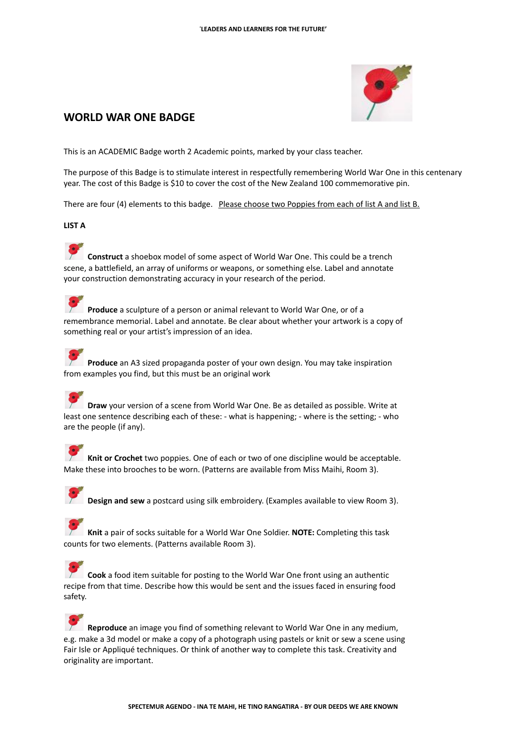

## **WORLD WAR ONE BADGE**

This is an ACADEMIC Badge worth 2 Academic points, marked by your class teacher.

The purpose of this Badge is to stimulate interest in respectfully remembering World War One in this centenary year. The cost of this Badge is \$10 to cover the cost of the New Zealand 100 commemorative pin.

There are four (4) elements to this badge. Please choose two Poppies from each of list A and list B.

## **LIST A**

**Construct** a shoebox model of some aspect of World War One. This could be a trench scene, a battlefield, an array of uniforms or weapons, or something else. Label and annotate your construction demonstrating accuracy in your research of the period.

**Produce** a sculpture of a person or animal relevant to World War One, or of a remembrance memorial. Label and annotate. Be clear about whether your artwork is a copy of something real or your artist's impression of an idea.

**Produce** an A3 sized propaganda poster of your own design. You may take inspiration from examples you find, but this must be an original work

**Draw** your version of a scene from World War One. Be as detailed as possible. Write at least one sentence describing each of these: - what is happening; - where is the setting; - who are the people (if any).

**Knit or Crochet** two poppies. One of each or two of one discipline would be acceptable. Make these into brooches to be worn. (Patterns are available from Miss Maihi, Room 3).

**Design and sew** a postcard using silk embroidery. (Examples available to view Room 3).

**Knit** a pair of socks suitable for a World War One Soldier. **NOTE:** Completing this task counts for two elements. (Patterns available Room 3).

**Cook** a food item suitable for posting to the World War One front using an authentic recipe from that time. Describe how this would be sent and the issues faced in ensuring food safety.

**Reproduce** an image you find of something relevant to World War One in any medium, e.g. make a 3d model or make a copy of a photograph using pastels or knit or sew a scene using Fair Isle or Appliqué techniques. Or think of another way to complete this task. Creativity and originality are important.